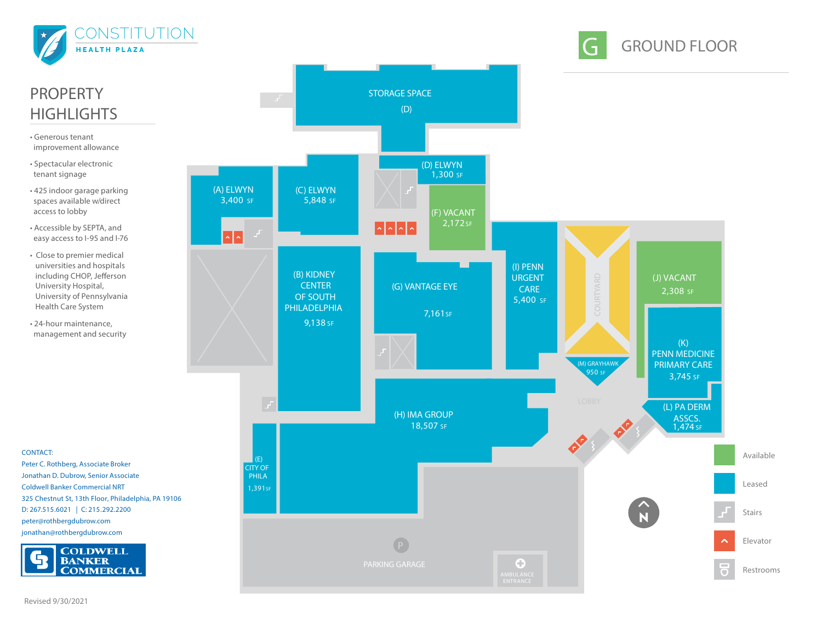





## PROPERTY **HIGHLIGHTS**

- Generous tenant improvement allowance
- Spectacular electronic tenant signage
- 425 indoor garage parking spaces available w/direct access to lobby
- Accessible by SEPTA, and easy access to I-95 and I-76
- Close to premier medical universities and hospitals including CHOP, Jefferson University Hospital, University of Pennsylvania Health Care System
- 24-hour maintenance, management and security

**CONTACT:** Peter C. Rothberg, Associate Broker Jonathan D. Dubrow, Senior Associate Coldwell Banker Commercial NRT 325 Chestnut St, 13th Floor, Philadelphia, PA 19106 D: 267.515.6021 **|** C: 215.292.2200 peter@rothbergdubrow.com jonathan@rothbergdubrow.com

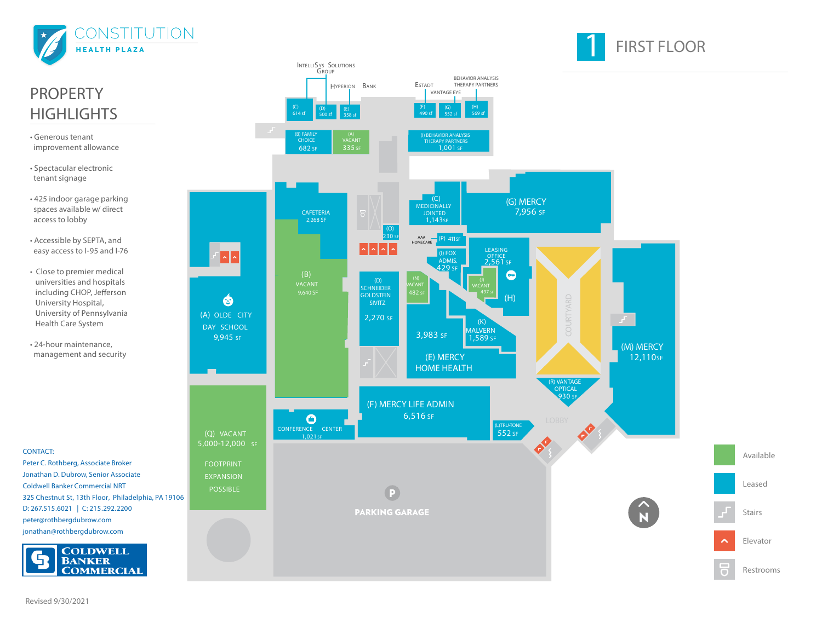

PROPERTY

• Generous tenant improvement allowance

**HIGHLIGHTS** 

• Spectacular electronic tenant signage

spaces available w/ direct access to lobby

• Accessible by SEPTA, and

• Close to premier medical

University Hospital,

Health Care System • 24-hour maintenance,

# **FIRST FLOOR**

Restrooms

Available

Leased

Stairs

Elevator



peter@rothbergdubrow.com jonathan@rothbergdubrow.com

**BANKER** 

**CONTACT:**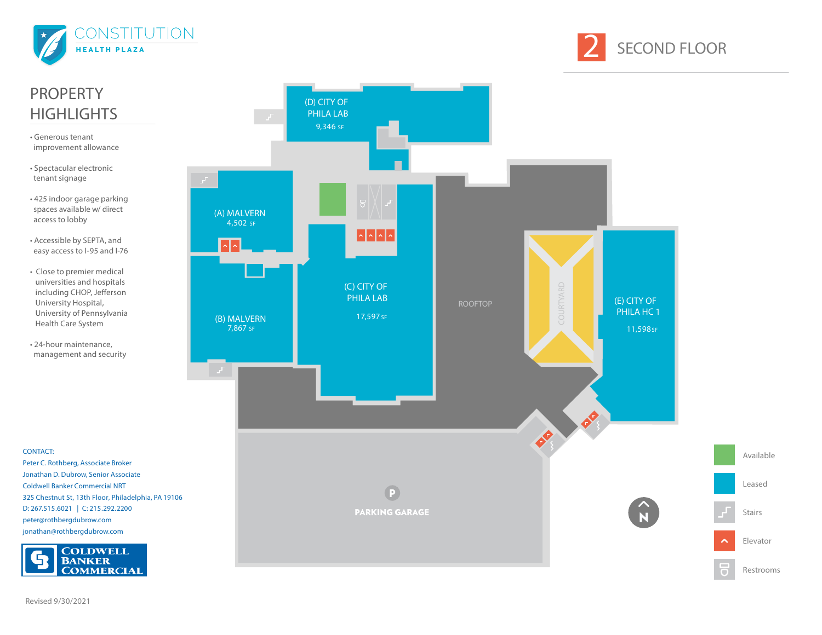



#### (D) CITY OF PHILA LAB 9,346 SF (A) MALVERN 4,502 SF  $\left\vert \cdot\right\vert$   $\left\vert \cdot\right\vert$   $\left\vert \cdot\right\vert$   $\left\vert \cdot\right\vert$ (C) CITY OF PHILA LAB (E) CITY OF ROOFTOP PHILA HC 1 17,597 SF (B) MALVERN 7,867 SF 11,598 SF OP OB. Available Peter C. Rothberg, Associate Broker Jonathan D. Dubrow, Senior Associate Leased Coldwell Banker Commercial NRT  $\overline{P}$ 325 Chestnut St, 13th Floor, Philadelphia, PA 19106 D: 267.515.6021 **|** C: 215.292.2200 **PARKING GARAGE** Stairs peter@rothbergdubrow.com jonathan@rothbergdubrow.com Elevator **COLDWELL<br>BANKER COMMERCIAL** Restrooms

# PROPERTY **HIGHLIGHTS**

- Generous tenant improvement allowance
- Spectacular electronic tenant signage
- 425 indoor garage parking spaces available w/ direct access to lobby
- Accessible by SEPTA, and easy access to I-95 and I-76
- Close to premier medical universities and hospitals including CHOP, Jefferson University Hospital, University of Pennsylvania Health Care System
- 24-hour maintenance, management and security

**CONTACT:**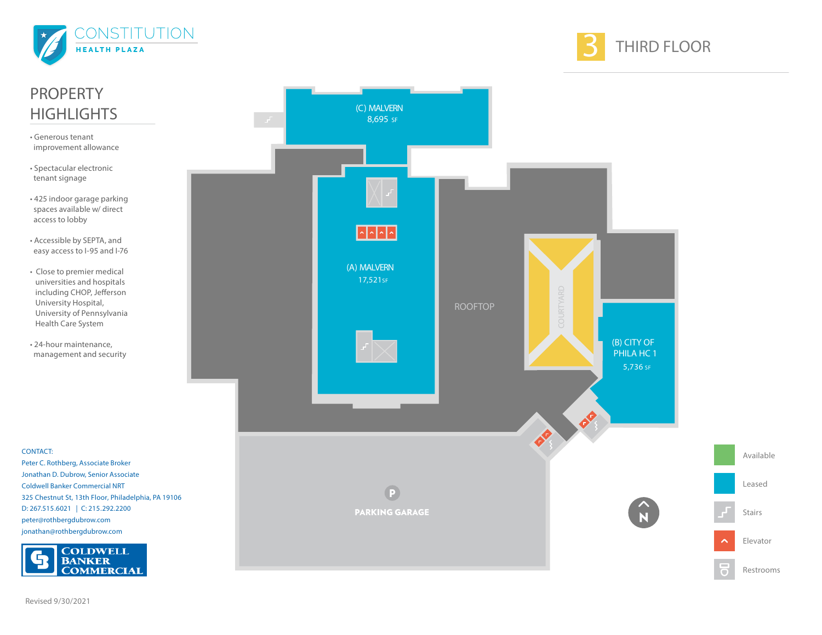



Restrooms

Available

Leased

Stairs

Elevator

## **CONTACT:** PROPERTY **HIGHLIGHTS** • Generous tenant improvement allowance • Spectacular electronic tenant signage • 425 indoor garage parking spaces available w/ direct access to lobby • Accessible by SEPTA, and easy access to I-95 and I-76 • Close to premier medical universities and hospitals including CHOP, Jefferson University Hospital, University of Pennsylvania Health Care System • 24-hour maintenance, management and security

Peter C. Rothberg, Associate Broker Jonathan D. Dubrow, Senior Associate Coldwell Banker Commercial NRT 325 Chestnut St, 13th Floor, Philadelphia, PA 19106 D: 267.515.6021 **|** C: 215.292.2200 peter@rothbergdubrow.com jonathan@rothbergdubrow.com





Revised 9/30/2021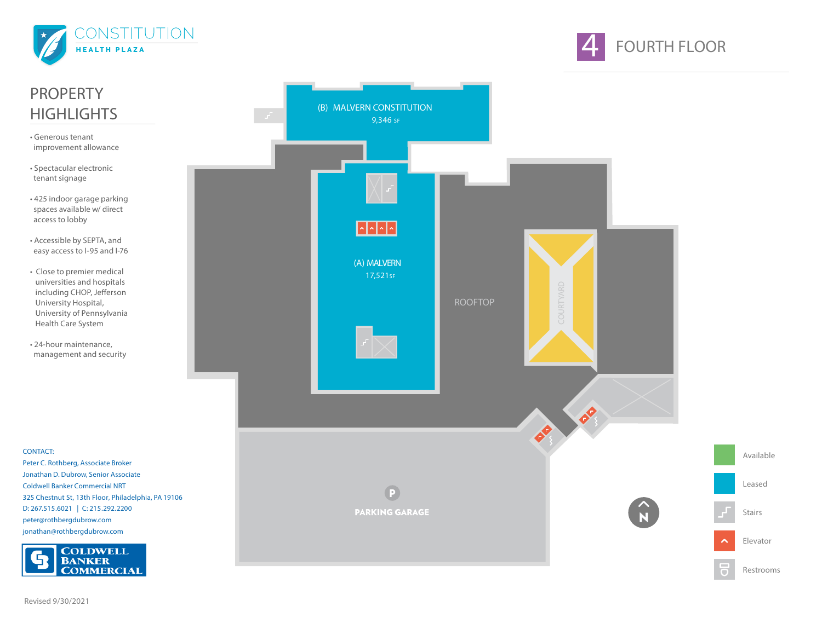



Leased

# PROPERTY **HIGHLIGHTS**

- Generous tenant improvement allowance
- Spectacular electronic tenant signage
- 425 indoor garage parking spaces available w/ direct access to lobby
- Accessible by SEPTA, and easy access to I-95 and I-76
- Close to premier medical universities and hospitals including CHOP, Jefferson University Hospital, University of Pennsylvania Health Care System
- 24-hour maintenance, management and security

**CONTACT:**

Peter C. Rothberg, Associate Broker Jonathan D. Dubrow, Senior Associate Coldwell Banker Commercial NRT 325 Chestnut St, 13th Floor, Philadelphia, PA 19106 D: 267.515.6021 **|** C: 215.292.2200 peter@rothbergdubrow.com jonathan@rothbergdubrow.com